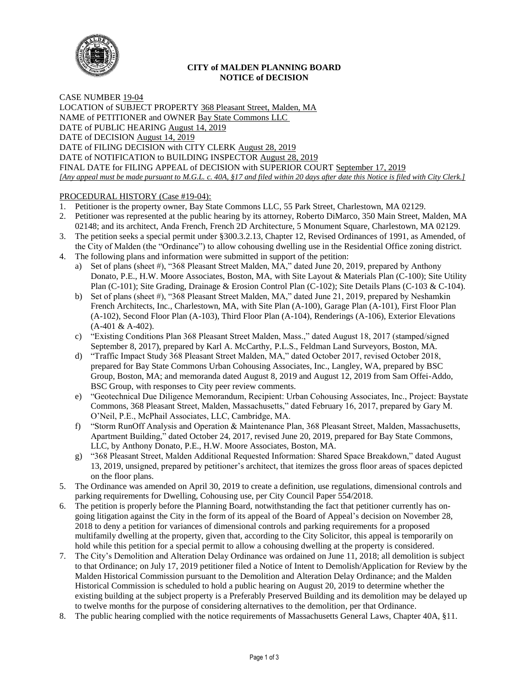

# **CITY of MALDEN PLANNING BOARD NOTICE of DECISION**

CASE NUMBER 19-04 LOCATION of SUBJECT PROPERTY 368 Pleasant Street, Malden, MA NAME of PETITIONER and OWNER Bay State Commons LLC DATE of PUBLIC HEARING August 14, 2019 DATE of DECISION August 14, 2019 DATE of FILING DECISION with CITY CLERK August 28, 2019 DATE of NOTIFICATION to BUILDING INSPECTOR August 28, 2019 FINAL DATE for FILING APPEAL of DECISION with SUPERIOR COURT September 17, 2019 *[Any appeal must be made pursuant to M.G.L. c. 40A, §17 and filed within 20 days after date this Notice is filed with City Clerk.]* 

# PROCEDURAL HISTORY (Case #19-04):

- 1. Petitioner is the property owner, Bay State Commons LLC, 55 Park Street, Charlestown, MA 02129.
- 2. Petitioner was represented at the public hearing by its attorney, Roberto DiMarco, 350 Main Street, Malden, MA 02148; and its architect, Anda French, French 2D Architecture, 5 Monument Square, Charlestown, MA 02129.
- 3. The petition seeks a special permit under §300.3.2.13, Chapter 12, Revised Ordinances of 1991, as Amended, of the City of Malden (the "Ordinance") to allow cohousing dwelling use in the Residential Office zoning district.
- 4. The following plans and information were submitted in support of the petition:
	- a) Set of plans (sheet #), "368 Pleasant Street Malden, MA," dated June 20, 2019, prepared by Anthony Donato, P.E., H.W. Moore Associates, Boston, MA, with Site Layout & Materials Plan (C-100); Site Utility Plan (C-101); Site Grading, Drainage & Erosion Control Plan (C-102); Site Details Plans (C-103 & C-104).
	- b) Set of plans (sheet #), "368 Pleasant Street Malden, MA," dated June 21, 2019, prepared by Neshamkin French Architects, Inc., Charlestown, MA, with Site Plan (A-100), Garage Plan (A-101), First Floor Plan (A-102), Second Floor Plan (A-103), Third Floor Plan (A-104), Renderings (A-106), Exterior Elevations (A-401 & A-402).
	- c) "Existing Conditions Plan 368 Pleasant Street Malden, Mass.," dated August 18, 2017 (stamped/signed September 8, 2017), prepared by Karl A. McCarthy, P.L.S., Feldman Land Surveyors, Boston, MA.
	- d) "Traffic Impact Study 368 Pleasant Street Malden, MA," dated October 2017, revised October 2018, prepared for Bay State Commons Urban Cohousing Associates, Inc., Langley, WA, prepared by BSC Group, Boston, MA; and memoranda dated August 8, 2019 and August 12, 2019 from Sam Offei-Addo, BSC Group, with responses to City peer review comments.
	- e) "Geotechnical Due Diligence Memorandum, Recipient: Urban Cohousing Associates, Inc., Project: Baystate Commons, 368 Pleasant Street, Malden, Massachusetts," dated February 16, 2017, prepared by Gary M. O'Neil, P.E., McPhail Associates, LLC, Cambridge, MA.
	- f) "Storm RunOff Analysis and Operation & Maintenance Plan, 368 Pleasant Street, Malden, Massachusetts, Apartment Building," dated October 24, 2017, revised June 20, 2019, prepared for Bay State Commons, LLC, by Anthony Donato, P.E., H.W. Moore Associates, Boston, MA.
	- g) "368 Pleasant Street, Malden Additional Requested Information: Shared Space Breakdown," dated August 13, 2019, unsigned, prepared by petitioner's architect, that itemizes the gross floor areas of spaces depicted on the floor plans.
- 5. The Ordinance was amended on April 30, 2019 to create a definition, use regulations, dimensional controls and parking requirements for Dwelling, Cohousing use, per City Council Paper 554/2018.
- 6. The petition is properly before the Planning Board, notwithstanding the fact that petitioner currently has ongoing litigation against the City in the form of its appeal of the Board of Appeal's decision on November 28, 2018 to deny a petition for variances of dimensional controls and parking requirements for a proposed multifamily dwelling at the property, given that, according to the City Solicitor, this appeal is temporarily on hold while this petition for a special permit to allow a cohousing dwelling at the property is considered.
- 7. The City's Demolition and Alteration Delay Ordinance was ordained on June 11, 2018; all demolition is subject to that Ordinance; on July 17, 2019 petitioner filed a Notice of Intent to Demolish/Application for Review by the Malden Historical Commission pursuant to the Demolition and Alteration Delay Ordinance; and the Malden Historical Commission is scheduled to hold a public hearing on August 20, 2019 to determine whether the existing building at the subject property is a Preferably Preserved Building and its demolition may be delayed up to twelve months for the purpose of considering alternatives to the demolition, per that Ordinance.
- 8. The public hearing complied with the notice requirements of Massachusetts General Laws, Chapter 40A, §11.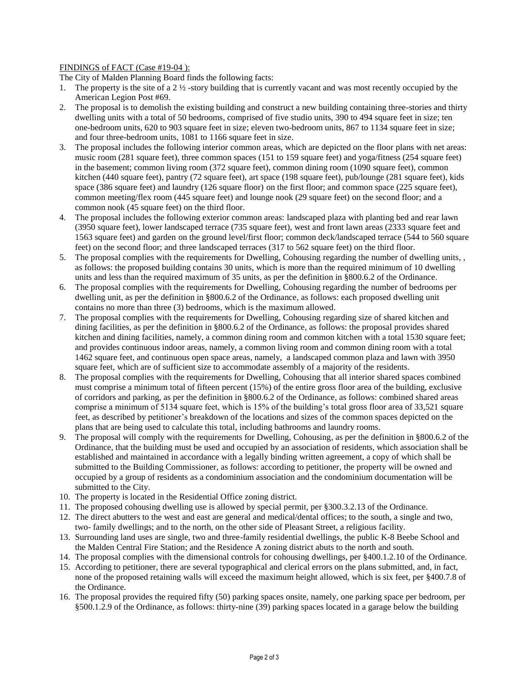## FINDINGS of FACT (Case #19-04 ):

The City of Malden Planning Board finds the following facts:

- 1. The property is the site of a 2  $\frac{1}{2}$ -story building that is currently vacant and was most recently occupied by the American Legion Post #69.
- 2. The proposal is to demolish the existing building and construct a new building containing three-stories and thirty dwelling units with a total of 50 bedrooms, comprised of five studio units, 390 to 494 square feet in size; ten one-bedroom units, 620 to 903 square feet in size; eleven two-bedroom units, 867 to 1134 square feet in size; and four three-bedroom units, 1081 to 1166 square feet in size.
- 3. The proposal includes the following interior common areas, which are depicted on the floor plans with net areas: music room (281 square feet), three common spaces (151 to 159 square feet) and yoga/fitness (254 square feet) in the basement; common living room (372 square feet), common dining room (1090 square feet), common kitchen (440 square feet), pantry (72 square feet), art space (198 square feet), pub/lounge (281 square feet), kids space (386 square feet) and laundry (126 square floor) on the first floor; and common space (225 square feet), common meeting/flex room (445 square feet) and lounge nook (29 square feet) on the second floor; and a common nook (45 square feet) on the third floor.
- 4. The proposal includes the following exterior common areas: landscaped plaza with planting bed and rear lawn (3950 square feet), lower landscaped terrace (735 square feet), west and front lawn areas (2333 square feet and 1563 square feet) and garden on the ground level/first floor; common deck/landscaped terrace (544 to 560 square feet) on the second floor; and three landscaped terraces (317 to 562 square feet) on the third floor.
- 5. The proposal complies with the requirements for Dwelling, Cohousing regarding the number of dwelling units, , as follows: the proposed building contains 30 units, which is more than the required minimum of 10 dwelling units and less than the required maximum of 35 units, as per the definition in §800.6.2 of the Ordinance.
- 6. The proposal complies with the requirements for Dwelling, Cohousing regarding the number of bedrooms per dwelling unit, as per the definition in §800.6.2 of the Ordinance, as follows: each proposed dwelling unit contains no more than three (3) bedrooms, which is the maximum allowed.
- 7. The proposal complies with the requirements for Dwelling, Cohousing regarding size of shared kitchen and dining facilities, as per the definition in §800.6.2 of the Ordinance, as follows: the proposal provides shared kitchen and dining facilities, namely, a common dining room and common kitchen with a total 1530 square feet; and provides continuous indoor areas, namely, a common living room and common dining room with a total 1462 square feet, and continuous open space areas, namely, a landscaped common plaza and lawn with 3950 square feet, which are of sufficient size to accommodate assembly of a majority of the residents.
- 8. The proposal complies with the requirements for Dwelling, Cohousing that all interior shared spaces combined must comprise a minimum total of fifteen percent (15%) of the entire gross floor area of the building, exclusive of corridors and parking, as per the definition in §800.6.2 of the Ordinance, as follows: combined shared areas comprise a minimum of 5134 square feet, which is 15% of the building's total gross floor area of 33,521 square feet, as described by petitioner's breakdown of the locations and sizes of the common spaces depicted on the plans that are being used to calculate this total, including bathrooms and laundry rooms.
- 9. The proposal will comply with the requirements for Dwelling, Cohousing, as per the definition in §800.6.2 of the Ordinance, that the building must be used and occupied by an association of residents, which association shall be established and maintained in accordance with a legally binding written agreement, a copy of which shall be submitted to the Building Commissioner, as follows: according to petitioner, the property will be owned and occupied by a group of residents as a condominium association and the condominium documentation will be submitted to the City.
- 10. The property is located in the Residential Office zoning district.
- 11. The proposed cohousing dwelling use is allowed by special permit, per §300.3.2.13 of the Ordinance.
- 12. The direct abutters to the west and east are general and medical/dental offices; to the south, a single and two, two- family dwellings; and to the north, on the other side of Pleasant Street, a religious facility.
- 13. Surrounding land uses are single, two and three-family residential dwellings, the public K-8 Beebe School and the Malden Central Fire Station; and the Residence A zoning district abuts to the north and south.
- 14. The proposal complies with the dimensional controls for cohousing dwellings, per §400.1.2.10 of the Ordinance.
- 15. According to petitioner, there are several typographical and clerical errors on the plans submitted, and, in fact, none of the proposed retaining walls will exceed the maximum height allowed, which is six feet, per §400.7.8 of the Ordinance.
- 16. The proposal provides the required fifty (50) parking spaces onsite, namely, one parking space per bedroom, per §500.1.2.9 of the Ordinance, as follows: thirty-nine (39) parking spaces located in a garage below the building